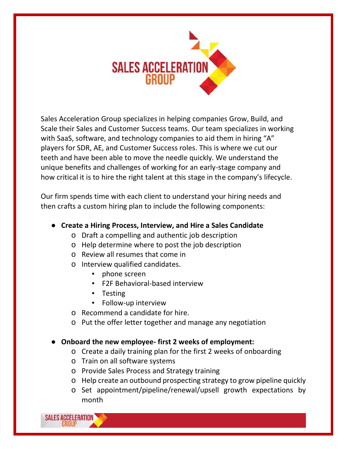

Sales Acceleration Group specializes in helping companies Grow, Build, and Scale their Sales and Customer Success teams. Our team specializes in working with SaaS, software, and technology companies to aid them in hiring "A" players for SDR, AE, and Customer Success roles. This is where we cut our teeth and have been able to move the needle quickly. We understand the unique benefits and challenges of working for an early-stage company and how critical it is to hire the right talent at this stage in the company's lifecycle.

Our firm spends time with each client to understand your hiring needs and then crafts a custom hiring plan to include the following components:

- **Create a Hiring Process, Interview, and Hire a Sales Candidate**
	- o Draft a compelling and authentic job description
	- o Help determine where to post the job description
	- o Review all resumes that come in
	- o Interview qualified candidates.
		- phone screen
		- F2F Behavioral-based interview
		- Testing
		- Follow-up interview
	- o Recommend a candidate for hire.
	- o Put the offer letter together and manage any negotiation

## ● **Onboard the new employee- first 2 weeks of employment:**

- o Create a daily training plan for the first 2 weeks of onboarding
- o Train on all software systems
- o Provide Sales Process and Strategy training
- o Help create an outbound prospecting strategy to grow pipeline quickly
- o Set appointment/pipeline/renewal/upsell growth expectations by month